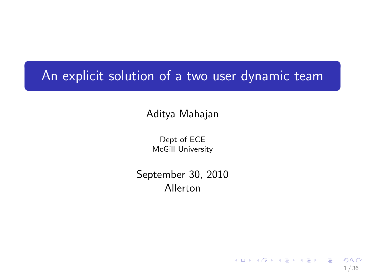### An explicit solution of a two user dynamic team

Aditya Mahajan

Dept of ECE McGill University

September 30, 2010 Allerton

1 / 36

 $209$ 

イロト 不優 ト 不思 ト 不思 トー 理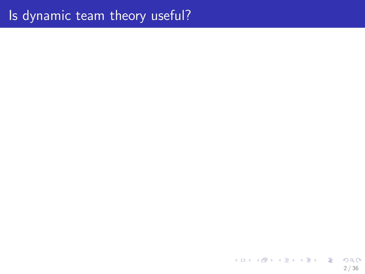メロトメ 御 トメ 君 トメ 君 トッ 君  $-990$  $2/36$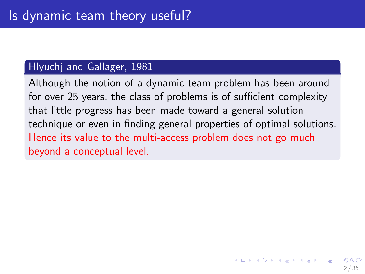#### Hlyuchj and Gallager, 1981

Although the notion of a dynamic team problem has been around for over 25 years, the class of problems is of sufficient complexity that little progress has been made toward a general solution technique or even in finding general properties of optimal solutions. Hence its value to the multi-access problem does not go much beyond a conceptual level.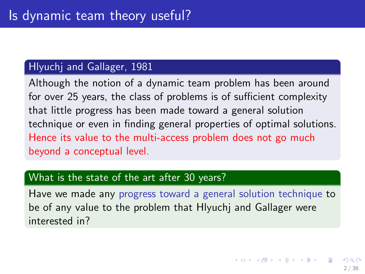#### Hlyuchj and Gallager, 1981

Although the notion of a dynamic team problem has been around for over 25 years, the class of problems is of sufficient complexity that little progress has been made toward a general solution technique or even in finding general properties of optimal solutions. Hence its value to the multi-access problem does not go much beyond a conceptual level.

#### What is the state of the art after 30 years?

Have we made any progress toward a general solution technique to be of any value to the problem that Hlyuchj and Gallager were interested in?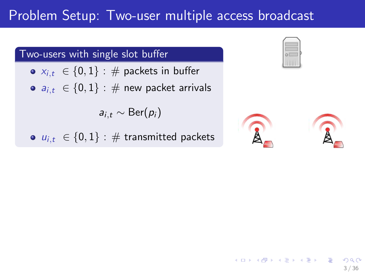### Problem Setup: Two-user multiple access broadcast

#### Two-users with single slot buffer

- $x_{i,t} \in \{0,1\}$ : # packets in buffer
- $a_{i,t} \in \{0,1\}$ : # new packet arrivals

 $a_{i,t} \sim \text{Ber}(p_i)$ 

 $u_{i,t} \in \{0,1\}$ : # transmitted packets



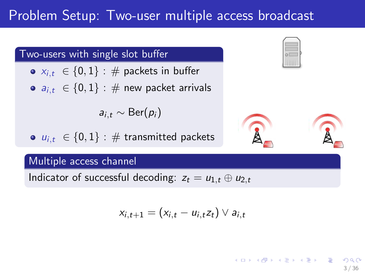### Problem Setup: Two-user multiple access broadcast

#### Two-users with single slot buffer

- $x_{i,t} \in \{0,1\}$ : # packets in buffer
- $a_{i,t} \in \{0,1\}$ : # new packet arrivals

$$
a_{i,t} \sim \text{Ber}(p_i)
$$

•  $u_{i,t} \in \{0,1\}$ : # transmitted packets

#### Multiple access channel

Indicator of successful decoding:  $z_t = u_{1,t} \oplus u_{2,t}$ 

$$
x_{i,t+1}=(x_{i,t}-u_{i,t}z_t)\vee a_{i,t}
$$





メロメ メ御き メミメ メミメ

3 / 36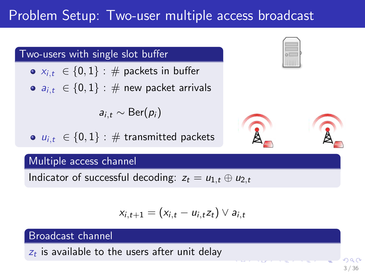### Problem Setup: Two-user multiple access broadcast

#### Two-users with single slot buffer

- $\bullet \; x_{i,t} \; \in \{0,1\} : \#$  packets in buffer
- $a_{i,t} \in \{0,1\}$ : # new packet arrivals

$$
a_{i,t} \sim \text{Ber}(p_i)
$$

 $\bullet$   $u_{i,t} \in \{0,1\}$ : # transmitted packets

#### Multiple access channel

Indicator of successful decoding:  $z_t = u_{1,t} \oplus u_{2,t}$ 

$$
x_{i,t+1}=(x_{i,t}-u_{i,t}z_t)\vee a_{i,t}
$$

#### Broadcast channel

 $z_t$  is available to the users after unit delay





3 / 36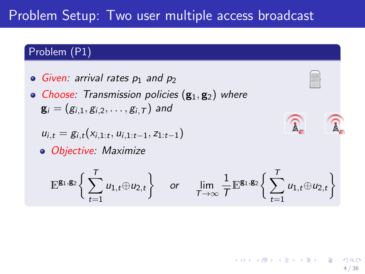### Problem Setup: Two user multiple access broadcast

#### Problem (P1)

- $\circ$  Given: arrival rates  $p_1$  and  $p_2$
- Choose: Transmission policies  $(g_1, g_2)$  where  ${\bf g}_i = (g_{i,1}, g_{i,2}, \ldots, g_{i,T})$  and

$$
u_{i,t} = g_{i,t}(x_{i,1:t}, u_{i,1:t-1}, z_{1:t-1})
$$

Objective: Maximize

$$
\mathbb{E}^{\mathbf{g}_1,\mathbf{g}_2}\bigg\{\sum_{t=1}^T u_{1,t}\oplus u_{2,t}\bigg\}\quad\text{ or }\quad\lim_{T\to\infty}\frac{1}{T}\mathbb{E}^{\mathbf{g}_1,\mathbf{g}_2}\bigg\{\sum_{t=1}^T u_{1,t}\oplus u_{2,t}\bigg\}
$$

 $\widehat{\mathtt{A}}$ 



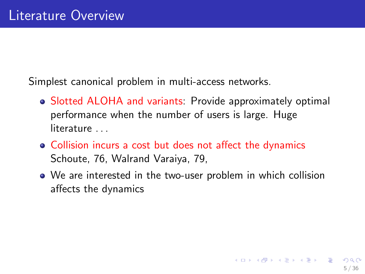Simplest canonical problem in multi-access networks.

- Slotted ALOHA and variants: Provide approximately optimal performance when the number of users is large. Huge literature ...
- Collision incurs a cost but does not affect the dynamics Schoute, 76, Walrand Varaiya, 79,
- We are interested in the two-user problem in which collision affects the dynamics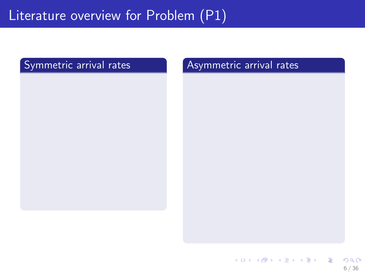#### Symmetric arrival rates **Asymmetric arrival rates**

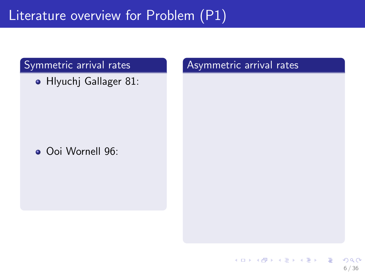**• Hlyuchj Gallager 81:** 

Ooi Wornell 96: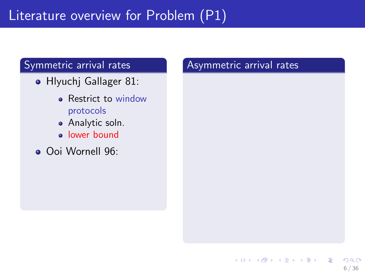- **Hlyuchj Gallager 81:** 
	- Restrict to window protocols
	- **•** Analytic soln.
	- **·** lower bound
- Ooi Wornell 96: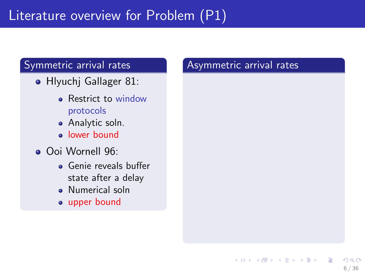- **Hlyuchi Gallager 81:** 
	- Restrict to window protocols
	- Analytic soln.
	- lower bound
- Ooi Wornell 96:
	- Genie reveals buffer state after a delay
	- **•** Numerical soln
	- upper bound

#### Asymmetric arrival rates

6 / 36

 $209$ 

イロト 不優 ト 不思 ト 不思 トー 理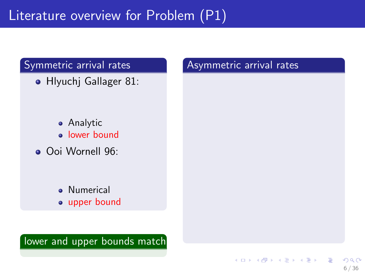Hlyuchj Gallager 81:

- Analytic • lower bound
- Ooi Wornell 96:
	- **•** Numerical • upper bound

lower and upper bounds match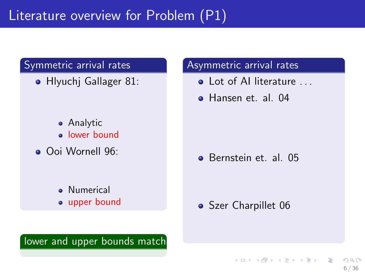**• Hlyuchi Gallager 81:** 

- Analytic **a** lower bound
- Ooi Wornell 96:
	- **.** Numerical • upper bound

#### Asymmetric arrival rates

- **Q** Lot of AI literature
- **e** Hansen et al. 04

**Bernstein et. al. 05** 

#### • Szer Charpillet 06

 $\mathbf{A} \equiv \mathbf{A} + \mathbf{A} \mathbf{B} + \mathbf{A} \mathbf{B} + \mathbf{A} \mathbf{B} + \mathbf{A} \mathbf{B}$ 

6 / 36

 $\Omega$ 

lower and upper bounds match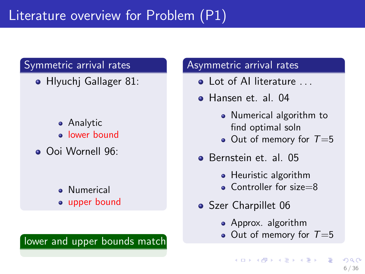**• Hlyuchi Gallager 81:** 

- **•** Analytic **.** lower bound
- Ooi Wornell 96:
	- **.** Numerical • upper bound

#### lower and upper bounds match

#### Asymmetric arrival rates

- $\bullet$  Lot of Al literature
- Hansen et. al. 04
	- Numerical algorithm to find optimal soln
	- Out of memory for  $T=5$
- **Bernstein et. al. 05** 
	- Heuristic algorithm
	- Controller for size=8
- Szer Charpillet 06
	- Approx. algorithm
	- Out of memory for  $T=5$

イロメ イ団メ イミメ イミメー

 $\Omega$ 6 / 36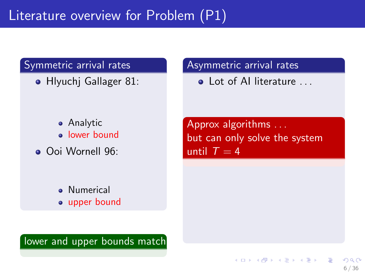**• Hlyuchi Gallager 81:** 

Analytic **a** lower bound

Ooi Wornell 96:

**•** Numerical • upper bound Asymmetric arrival rates

**Q** Lot of AI literature

Approx algorithms . . . but can only solve the system until  $T = 4$ 

イロト 不優 ト 不思 ト 不思 トー 理

6 / 36

 $\Omega$ 

lower and upper bounds match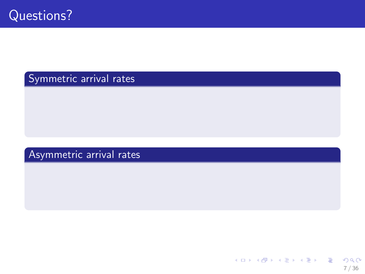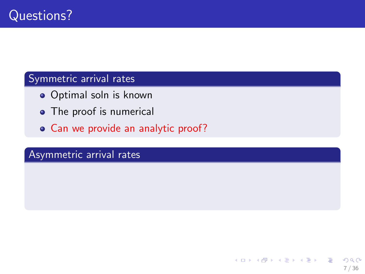- Optimal soln is known
- The proof is numerical
- Can we provide an analytic proof?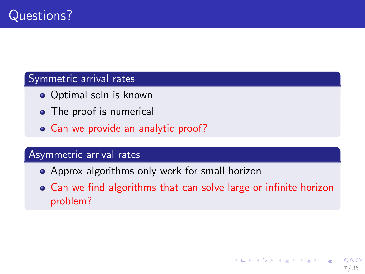- Optimal soln is known
- The proof is numerical
- Can we provide an analytic proof?

- Approx algorithms only work for small horizon
- Can we find algorithms that can solve large or infinite horizon problem?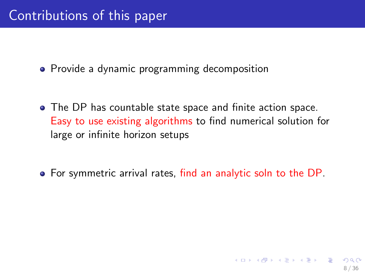• Provide a dynamic programming decomposition

The DP has countable state space and finite action space. Easy to use existing algorithms to find numerical solution for large or infinite horizon setups

For symmetric arrival rates, find an analytic soln to the DP.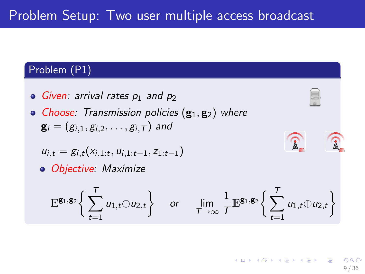#### Problem (P1)

- Given: arrival rates  $p_1$  and  $p_2$
- Choose: Transmission policies  $(g_1, g_2)$  where  ${\bf g}_i = (g_{i,1}, g_{i,2}, \ldots, g_{i,T})$  and

$$
u_{i,t} = g_{i,t}(x_{i,1:t}, u_{i,1:t-1}, z_{1:t-1})
$$

Objective: Maximize

$$
\mathbb{E}^{\mathbf{g}_1,\mathbf{g}_2}\bigg\{\sum_{t=1}^T u_{1,t} \oplus u_{2,t}\bigg\} \quad \text{ or } \quad \lim_{T \to \infty} \frac{1}{T} \mathbb{E}^{\mathbf{g}_1,\mathbf{g}_2}\bigg\{\sum_{t=1}^T u_{1,t} \oplus u_{2,t}\bigg\}
$$

$$
\widehat{\mathfrak{D}} \subset \widehat{\mathfrak{G}}
$$

K ロ X K @ X K 경 X X 경 X 시 경 9 / 36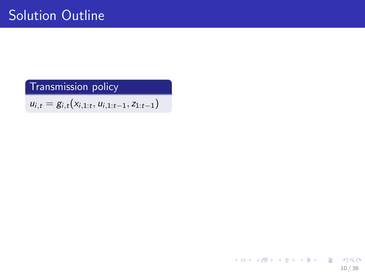$u_{i,t} = g_{i,t}(x_{i,1:t}, u_{i,1:t-1}, z_{1:t-1})$ 

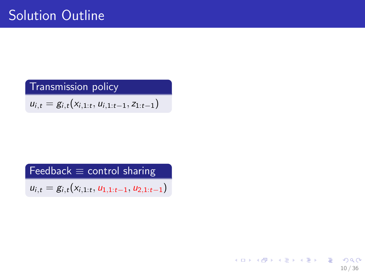$u_{i,t} = g_{i,t}(x_{i,1:t}, u_{i,1:t-1}, z_{1:t-1})$ 

Feedback  $\equiv$  control sharing

 $u_{i,t} = g_{i,t}(x_{i,1:t}, u_{1,1:t-1}, u_{2,1:t-1})$ 

K ロ X K @ X K 할 X K 할 X 시 할  $\Omega$ 10 / 36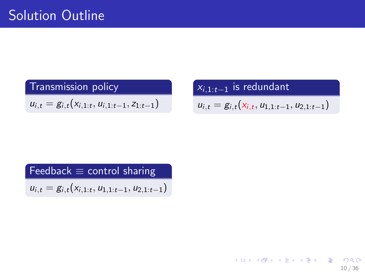$u_{i,t} = g_{i,t}(x_{i,1:t}, u_{i,1:t-1}, z_{1:t-1})$ 

 $\overline{x_{i,1:t-1}}$  is redundant  $u_{i,t} = g_{i,t}(x_{i,t}, u_{1,1:t-1}, u_{2,1:t-1})$ 

Feedback  $\equiv$  control sharing  $u_{i,t} = g_{i,t}(x_{i,1:t}, u_{1,1:t-1}, u_{2,1:t-1})$ 

> イロト 不優 ト 不思 ト 不思 トー 理  $\Omega$ 10 / 36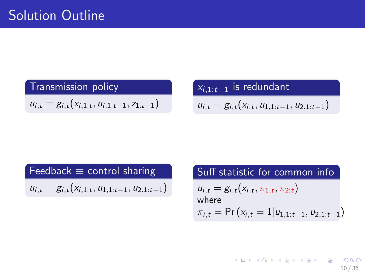$u_{i,t} = g_{i,t}(x_{i,1:t}, u_{i,1:t-1}, z_{1:t-1})$ 

#### $\overline{x_{i,1:t-1}}$  is redundant

$$
u_{i,t}=g_{i,t}(x_{i,t},u_{1,1:t-1},u_{2,1:t-1})
$$

Feedback  $\equiv$  control sharing

 $u_{i,t} = g_{i,t}(x_{i,1:t}, u_{1,1:t-1}, u_{2,1:t-1})$ 

Suff statistic for common info  $u_{i,t} = g_{i,t}(x_{i,t}, \pi_{1,t}, \pi_{2:t})$ where  $\pi_{i,t} = \Pr(x_{i,t} = 1|u_{1,1:t-1}, u_{2,1:t-1})$ 

> K ロ > K @ > K 등 > K 등 > … 등 10 / 36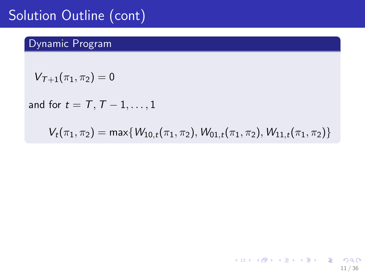## Solution Outline (cont)

#### Dynamic Program

$$
V_{\mathcal{T}+1}(\pi_1,\pi_2)=0
$$

and for  $t = T, T - 1, \ldots, 1$ 

 $V_t(\pi_1, \pi_2) = \max\{W_{10,t}(\pi_1, \pi_2), W_{01,t}(\pi_1, \pi_2), W_{11,t}(\pi_1, \pi_2)\}\$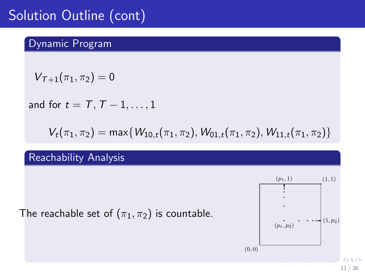## Solution Outline (cont)

#### Dynamic Program

$$
V_{\mathcal{T}+1}(\pi_1,\pi_2)=0
$$

and for  $t = T, T - 1, \ldots, 1$ 

 $V_t(\pi_1, \pi_2) = \max\{W_{10,t}(\pi_1, \pi_2), W_{01,t}(\pi_1, \pi_2), W_{11,t}(\pi_1, \pi_2)\}\$ 

#### Reachability Analysis

The reachable set of  $(\pi_1, \pi_2)$  is countable.

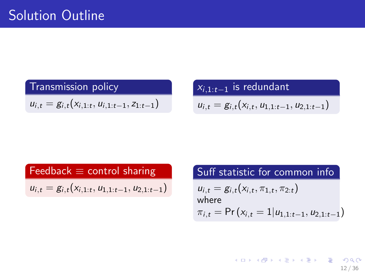$u_{i,t} = g_{i,t}(x_{i,1:t}, u_{i,1:t-1}, z_{1:t-1})$ 

#### $\overline{x_{i,1:t-1}}$  is redundant

$$
u_{i,t}=g_{i,t}(x_{i,t},u_{1,1:t-1},u_{2,1:t-1})
$$

Feedback  $\equiv$  control sharing

 $u_{i,t} = g_{i,t}(x_{i,1:t}, u_{1,1:t-1}, u_{2,1:t-1})$ 

Suff statistic for common info  $u_{i,t} = g_{i,t}(x_{i,t}, \pi_{1,t}, \pi_{2:t})$ where  $\pi_{i,t} = \Pr(x_{i,t} = 1|u_{1,1:t-1}, u_{2,1:t-1})$ 

> K ロ > K @ > K 등 > K 등 > … 등 12 / 36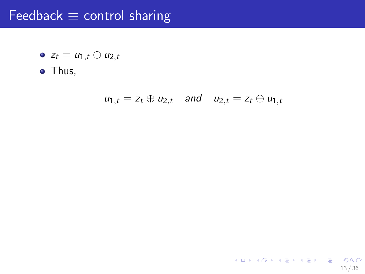### Feedback  $\equiv$  control sharing

$$
\bullet \ z_t = u_{1,t} \oplus u_{2,t}
$$

• Thus,

$$
u_{1,t}=z_t\oplus u_{2,t} \quad \text{and} \quad u_{2,t}=z_t\oplus u_{1,t}
$$

13 / 36

K ロ > K @ > K 할 > K 할 > 1 할 : ⊙ Q Q^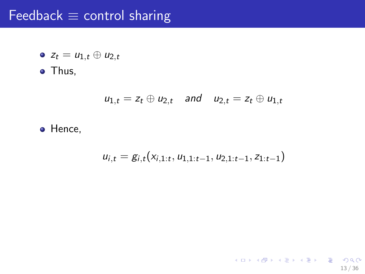### Feedback  $\equiv$  control sharing

$$
\bullet \ z_t = u_{1,t} \oplus u_{2,t}
$$

• Thus,

$$
u_{1,t}=z_t\oplus u_{2,t} \quad \text{and} \quad u_{2,t}=z_t\oplus u_{1,t}
$$

• Hence,

$$
u_{i,t} = g_{i,t}(x_{i,1:t}, u_{1,1:t-1}, u_{2,1:t-1}, z_{1:t-1})
$$

13 / 36

K ロ ▶ K @ ▶ K 할 ▶ K 할 ▶ ① 할 → ① 의 ①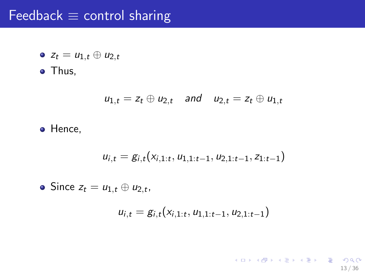### Feedback  $\equiv$  control sharing

$$
\bullet \ z_t = u_{1,t} \oplus u_{2,t}
$$

• Thus,

$$
u_{1,t}=z_t\oplus u_{2,t} \quad \text{and} \quad u_{2,t}=z_t\oplus u_{1,t}
$$

o Hence,

$$
u_{i,t} = g_{i,t}(x_{i,1:t}, u_{1,1:t-1}, u_{2,1:t-1}, z_{1:t-1})
$$

Since  $z_t = u_{1,t} \oplus u_{2,t}$ ,

$$
u_{i,t} = g_{i,t}(x_{i,1:t}, u_{1,1:t-1}, u_{2,1:t-1})
$$

K ロ ▶ K @ ▶ K 할 ▶ K 할 ▶ ( 할 ) 900 13 / 36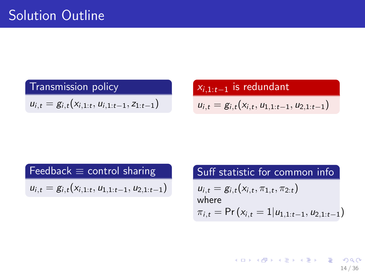$u_{i,t} = g_{i,t}(x_{i,1:t}, u_{i,1:t-1}, z_{1:t-1})$ 

#### $x_{i,1:t-1}$  is redundant

$$
u_{i,t}=g_{i,t}(x_{i,t},u_{1,1:t-1},u_{2,1:t-1})
$$

Feedback  $\equiv$  control sharing

 $u_{i,t} = g_{i,t}(x_{i,1:t}, u_{1,1:t-1}, u_{2,1:t-1})$ 

Suff statistic for common info  $u_{i,t} = g_{i,t}(x_{i,t}, \pi_{1,t}, \pi_{2:t})$ where  $\pi_{i,t} = \Pr(x_{i,t} = 1|u_{1,1:t-1}, u_{2,1:t-1})$ 

> K ロ X K @ X K 경 X X 경 X X 경 14 / 36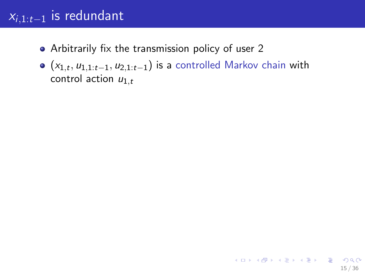- Arbitrarily fix the transmission policy of user 2
- $(x_{1,t}, u_{1,1:t-1}, u_{2,1:t-1})$  is a controlled Markov chain with control action  $u_{1,t}$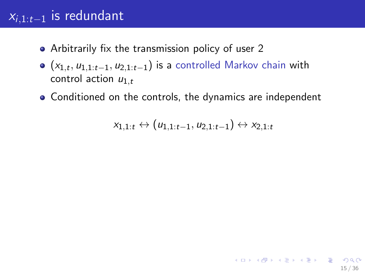- Arbitrarily fix the transmission policy of user 2
- $(x_{1,t}, u_{1,1:t-1}, u_{2,1:t-1})$  is a controlled Markov chain with control action  $u_{1,t}$
- Conditioned on the controls, the dynamics are independent

$$
x_{1,1:t} \leftrightarrow (u_{1,1:t-1}, u_{2,1:t-1}) \leftrightarrow x_{2,1:t}
$$

15 / 36

K ロ ▶ K @ ▶ K 할 ▶ K 할 ▶ → 할 → K Q Q Q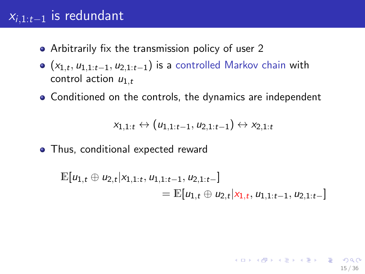- Arbitrarily fix the transmission policy of user 2
- $(x_{1,t}, u_{1,1:t-1}, u_{2,1:t-1})$  is a controlled Markov chain with control action  $u_{1,t}$
- Conditioned on the controls, the dynamics are independent

$$
x_{1,1:t} \leftrightarrow (u_{1,1:t-1}, u_{2,1:t-1}) \leftrightarrow x_{2,1:t}
$$

• Thus, conditional expected reward

$$
\mathbb{E}[u_{1,t} \oplus u_{2,t}|x_{1,1:t}, u_{1,1:t-1}, u_{2,1:t-}]
$$
  
=  $\mathbb{E}[u_{1,t} \oplus u_{2,t}|x_{1,t}, u_{1,1:t-1}, u_{2,1:t-}]$ 

15 / 36

K ロ ▶ K @ ▶ K 할 > K 할 > → 할 → 9 Q Q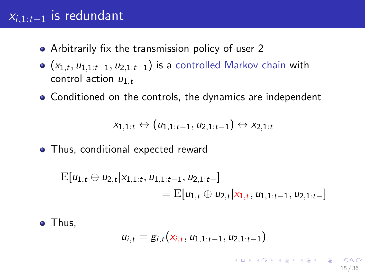- Arbitrarily fix the transmission policy of user 2
- $(x_{1,t}, u_{1,1:t-1}, u_{2,1:t-1})$  is a controlled Markov chain with control action  $u_{1,t}$
- Conditioned on the controls, the dynamics are independent

$$
x_{1,1:t} \leftrightarrow (u_{1,1:t-1}, u_{2,1:t-1}) \leftrightarrow x_{2,1:t}
$$

• Thus, conditional expected reward

$$
\mathbb{E}[u_{1,t} \oplus u_{2,t}|x_{1,1:t}, u_{1,1:t-1}, u_{2,1:t-}]
$$
  
=  $\mathbb{E}[u_{1,t} \oplus u_{2,t}|x_{1,t}, u_{1,1:t-1}, u_{2,1:t-}]$ 

• Thus.

$$
u_{i,t} = g_{i,t}(x_{i,t}, u_{1,1:t-1}, u_{2,1:t-1})
$$

15 / 36

K ロ ▶ K @ ▶ K 할 > K 할 > → 할 → 9 Q Q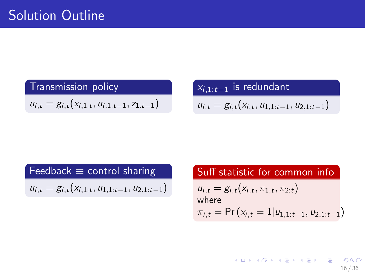$u_{i,t} = g_{i,t}(x_{i,1:t}, u_{i,1:t-1}, z_{1:t-1})$ 

#### $\overline{x_{i,1:t-1}}$  is redundant

$$
u_{i,t}=g_{i,t}(x_{i,t},u_{1,1:t-1},u_{2,1:t-1})
$$

Feedback  $\equiv$  control sharing

 $u_{i,t} = g_{i,t}(x_{i,1:t}, u_{1,1:t-1}, u_{2,1:t-1})$ 

Suff statistic for common info  $u_{i,t} = g_{i,t}(x_{i,t}, \pi_{1,t}, \pi_{2:t})$ where  $\pi_{i,t} = \Pr(x_{i,t} = 1|u_{1,1:t-1}, u_{2,1:t-1})$ 

> K ロ > K @ > K 등 > K 등 > … 등 16 / 36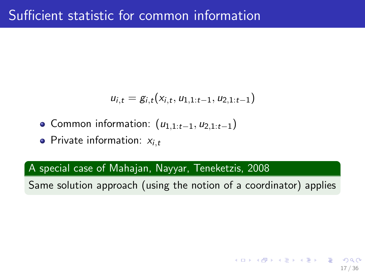$$
u_{i,t}=g_{i,t}(x_{i,t},u_{1,1:t-1},u_{2,1:t-1})
$$

- $\bullet$  Common information:  $(u_{1,1:t-1}, u_{2,1:t-1})$
- Private information:  $x_{i,t}$

#### A special case of Mahajan, Nayyar, Teneketzis, 2008

Same solution approach (using the notion of a coordinator) applies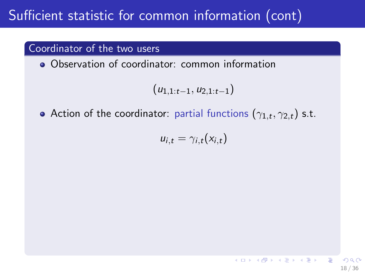#### Coordinator of the two users

Observation of coordinator: common information

$$
(u_{1,1:t-1}, u_{2,1:t-1})
$$

Action of the coordinator: partial functions  $(\gamma_{1,t}, \gamma_{2,t})$  s.t.

$$
u_{i,t}=\gamma_{i,t}(x_{i,t})
$$

18 / 36

**E** 

イロメ イ団メ イ君メ イ君メー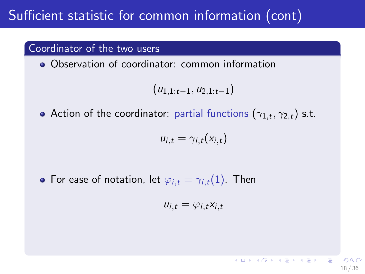#### Coordinator of the two users

Observation of coordinator: common information

$$
(u_{1,1:t-1}, u_{2,1:t-1})
$$

Action of the coordinator: partial functions  $(\gamma_{1,t}, \gamma_{2,t})$  s.t.

$$
u_{i,t}=\gamma_{i,t}(x_{i,t})
$$

• For ease of notation, let  $\varphi_{i,t} = \gamma_{i,t}(1)$ . Then

$$
u_{i,t} = \varphi_{i,t} x_{i,t}
$$

18 / 36

K ロ X K @ X K 할 X K 할 X 시 할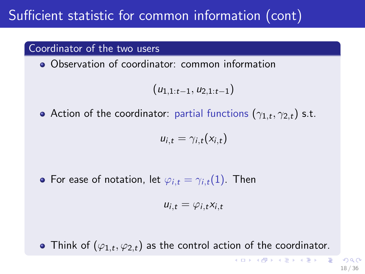#### Coordinator of the two users

• Observation of coordinator: common information

$$
(u_{1,1:t-1}, u_{2,1:t-1})
$$

Action of the coordinator: partial functions  $(\gamma_{1,t}, \gamma_{2,t})$  s.t.

$$
u_{i,t}=\gamma_{i,t}(x_{i,t})
$$

• For ease of notation, let  $\varphi_{i,t} = \gamma_{i,t}(1)$ . Then

$$
u_{i,t} = \varphi_{i,t} x_{i,t}
$$

Think of  $(\varphi_{1,t}, \varphi_{2,t})$  as the control action of the coordinator.

K ロ > K @ > K 등 > K 등 > … 등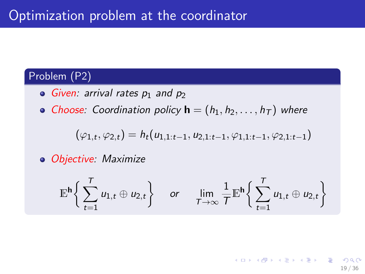### Problem (P2)

- $\bullet$  Given: arrival rates  $p_1$  and  $p_2$
- Choose: Coordination policy  $\mathbf{h} = (h_1, h_2, \dots, h_T)$  where

$$
(\varphi_{1,t},\varphi_{2,t})=h_t(u_{1,1:t-1},u_{2,1:t-1},\varphi_{1,1:t-1},\varphi_{2,1:t-1})
$$

• Objective: Maximize

$$
\mathbb{E}^{\mathsf{h}}\bigg\{\sum_{t=1}^T u_{1,t} \oplus u_{2,t}\bigg\} \quad \text{ or } \quad \lim_{T\to\infty}\frac{1}{T}\mathbb{E}^{\mathsf{h}}\bigg\{\sum_{t=1}^T u_{1,t} \oplus u_{2,t}\bigg\}
$$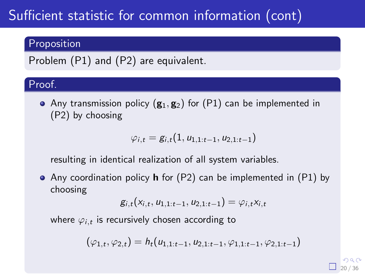#### Proposition

Problem (P1) and (P2) are equivalent.

#### Proof.

• Any transmission policy  $(g_1, g_2)$  for  $(P1)$  can be implemented in (P2) by choosing

$$
\varphi_{i,t}=g_{i,t}(1,u_{1,1:t-1},u_{2,1:t-1})
$$

resulting in identical realization of all system variables.

• Any coordination policy **h** for (P2) can be implemented in (P1) by choosing

$$
g_{i,t}(x_{i,t},u_{1,1:t-1},u_{2,1:t-1})=\varphi_{i,t}x_{i,t}
$$

where  $\varphi_{i,t}$  is recursively chosen according to

$$
(\varphi_{1,t},\varphi_{2,t})=h_t(u_{1,1:t-1},u_{2,1:t-1},\varphi_{1,1:t-1},\varphi_{2,1:t-1})
$$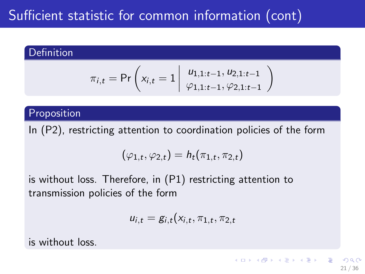#### **Definition**

$$
\pi_{i,t} = \Pr\left(x_{i,t} = 1 \middle| \begin{array}{c} u_{1,1:t-1}, u_{2,1:t-1} \\ \varphi_{1,1:t-1}, \varphi_{2,1:t-1} \end{array}\right)
$$

#### Proposition

In (P2), restricting attention to coordination policies of the form

$$
(\varphi_{1,t}, \varphi_{2,t}) = h_t(\pi_{1,t}, \pi_{2,t})
$$

is without loss. Therefore, in (P1) restricting attention to transmission policies of the form

$$
u_{i,t} = g_{i,t}(x_{i,t}, \pi_{1,t}, \pi_{2,t})
$$

21 / 36

イロメ イ何メ イヨメ イヨメート

is without loss.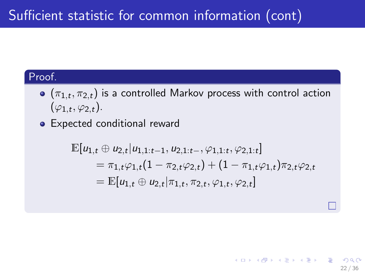#### Proof.

- $\left(\pi_{1,t},\pi_{2,t}\right)$  is a controlled Markov process with control action  $(\varphi_{1,t},\varphi_{2,t}).$
- Expected conditional reward

$$
\mathbb{E}[u_{1,t} \oplus u_{2,t}|u_{1,1:t-1}, u_{2,1:t-}, \varphi_{1,1:t}, \varphi_{2,1:t}] \n= \pi_{1,t}\varphi_{1,t}(1 - \pi_{2,t}\varphi_{2,t}) + (1 - \pi_{1,t}\varphi_{1,t})\pi_{2,t}\varphi_{2,t} \n= \mathbb{E}[u_{1,t} \oplus u_{2,t}|\pi_{1,t}, \pi_{2,t}, \varphi_{1,t}, \varphi_{2,t}]
$$

22 / 36

K ロ X K @ X K 경 X X 경 X X 경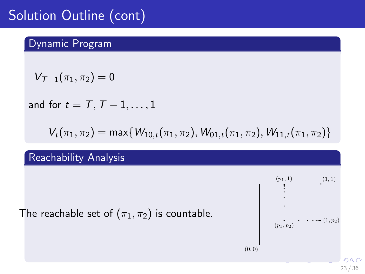## Solution Outline (cont)

#### Dynamic Program

$$
V_{\mathcal{T}+1}(\pi_1,\pi_2)=0
$$

and for  $t = T, T - 1, \ldots, 1$ 

 $V_t(\pi_1, \pi_2) = \max\{W_{10,t}(\pi_1, \pi_2), W_{01,t}(\pi_1, \pi_2), W_{11,t}(\pi_1, \pi_2)\}\$ 

#### Reachability Analysis

The reachable set of  $(\pi_1, \pi_2)$  is countable.



23 / 36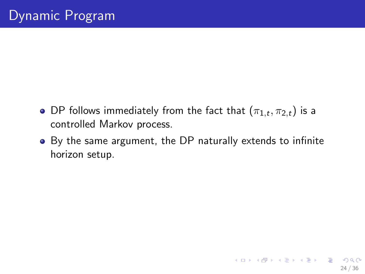- DP follows immediately from the fact that  $(\pi_{1,t}, \pi_{2,t})$  is a controlled Markov process.
- By the same argument, the DP naturally extends to infinite horizon setup.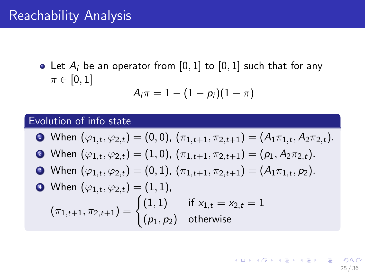### Reachability Analysis

• Let  $A_i$  be an operator from [0, 1] to [0, 1] such that for any  $\pi \in [0,1]$ 

$$
A_i\pi=1-(1-p_i)(1-\pi)
$$

#### Evolution of info state

\n- When 
$$
(\varphi_{1,t}, \varphi_{2,t}) = (0, 0), (\pi_{1,t+1}, \pi_{2,t+1}) = (A_1 \pi_{1,t}, A_2 \pi_{2,t}).
$$
\n- When  $(\varphi_{1,t}, \varphi_{2,t}) = (1, 0), (\pi_{1,t+1}, \pi_{2,t+1}) = (p_1, A_2 \pi_{2,t}).$
\n- When  $(\varphi_{1,t}, \varphi_{2,t}) = (0, 1), (\pi_{1,t+1}, \pi_{2,t+1}) = (A_1 \pi_{1,t}, p_2).$
\n- When  $(\varphi_{1,t}, \varphi_{2,t}) = (1, 1),$   $(\pi_{1,t+1}, \pi_{2,t+1}) = \begin{cases} (1, 1) & \text{if } x_{1,t} = x_{2,t} = 1 \\ (p_1, p_2) & \text{otherwise} \end{cases}$
\n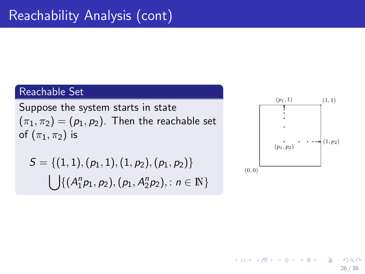#### Reachable Set

Suppose the system starts in state  $(\pi_1, \pi_2) = (p_1, p_2)$ . Then the reachable set of  $(\pi_1, \pi_2)$  is

$$
S = \{(1,1), (p_1,1), (1,p_2), (p_1,p_2)\}\
$$

$$
\bigcup \{(A_1^n p_1, p_2), (p_1, A_2^n p_2), : n \in \mathbb{N}\}\
$$



メロメ メ部 メメ きょうくきょう

26 / 36

 $209$ 

画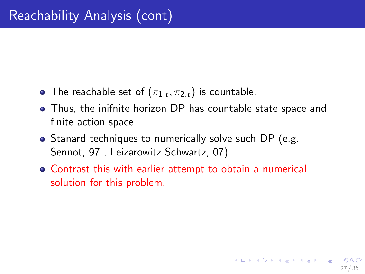- The reachable set of  $(\pi_{1,t}, \pi_{2,t})$  is countable.
- Thus, the inifnite horizon DP has countable state space and finite action space
- Stanard techniques to numerically solve such DP (e.g. Sennot, 97 , Leizarowitz Schwartz, 07)
- Contrast this with earlier attempt to obtain a numerical solution for this problem.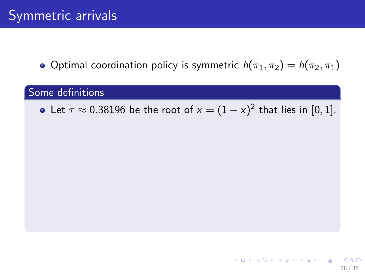• Optimal coordination policy is symmetric  $h(\pi_1, \pi_2) = h(\pi_2, \pi_1)$ 

#### Some definitions

Let  $\tau \approx 0.38196$  be the root of  $x = (1 - x)^2$  that lies in  $[0, 1]$ .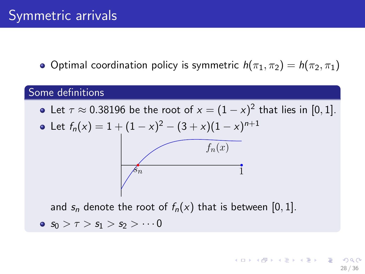• Optimal coordination policy is symmetric  $h(\pi_1, \pi_2) = h(\pi_2, \pi_1)$ 

#### Some definitions

Let  $\tau \approx 0.38196$  be the root of  $x = (1 - x)^2$  that lies in  $[0, 1]$ .

• Let 
$$
f_n(x) = 1 + (1 - x)^2 - (3 + x)(1 - x)^{n+1}
$$
  
 $f_n(x)$ 

and  $s_n$  denote the root of  $f_n(x)$  that is between [0, 1].  $\bullet$  s<sub>0</sub> >  $\tau$  > s<sub>1</sub> > s<sub>2</sub> >  $\cdots$ 0

28 / 36

K ロ ▶ K @ ▶ K 할 > K 할 > → 할 → 9 Q Q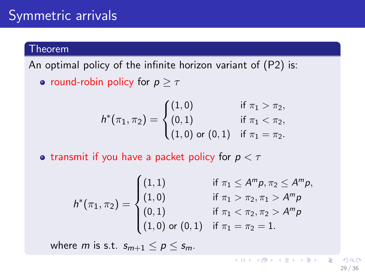### Symmetric arrivals

#### **Theorem**

An optimal policy of the infinite horizon variant of (P2) is:

• round-robin policy for  $p > \tau$ 

$$
h^*(\pi_1, \pi_2) = \begin{cases} (1,0) & \text{if } \pi_1 > \pi_2, \\ (0,1) & \text{if } \pi_1 < \pi_2, \\ (1,0) & \text{or } (0,1) & \text{if } \pi_1 = \pi_2. \end{cases}
$$

• transmit if you have a packet policy for  $p < \tau$ 

$$
h^*(\pi_1, \pi_2) = \begin{cases} (1, 1) & \text{if } \pi_1 \le A^m p, \pi_2 \le A^m p, \\ (1, 0) & \text{if } \pi_1 > \pi_2, \pi_1 > A^m p \\ (0, 1) & \text{if } \pi_1 < \pi_2, \pi_2 > A^m p \\ (1, 0) \text{ or } (0, 1) & \text{if } \pi_1 = \pi_2 = 1. \end{cases}
$$

where *m* is s.t.  $s_{m+1} < p < s_m$ .

イロト 不優 ト 不思 ト 不思 トー 理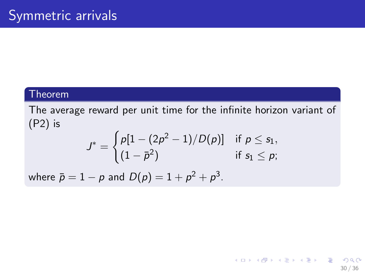#### **Theorem**

The average reward per unit time for the infinite horizon variant of (P2) is

$$
J^* = \begin{cases} p[1 - (2p^2 - 1)/D(p)] & \text{if } p \leq s_1, \\ (1 - \bar{p}^2) & \text{if } s_1 \leq p; \end{cases}
$$

30 / 36

K ロ ▶ K @ ▶ K 할 > K 할 > → 할 → 9 Q Q

where  $\bar{p}=1-p$  and  $D(p)=1+p^2+p^3.$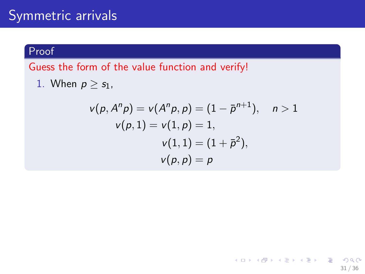### Symmetric arrivals

#### Proof

Guess the form of the value function and verify!

1. When  $p \geq s_1$ ,

$$
v(p, Anp) = v(Anp, p) = (1 - \bar{p}n+1), \quad n > 1
$$
  

$$
v(p, 1) = v(1, p) = 1,
$$
  

$$
v(1, 1) = (1 + \bar{p}2),
$$
  

$$
v(p, p) = p
$$

<span id="page-55-0"></span>31 / 36

K ロ X x (個) X x モ X x モ X = 三 → つ Q Q →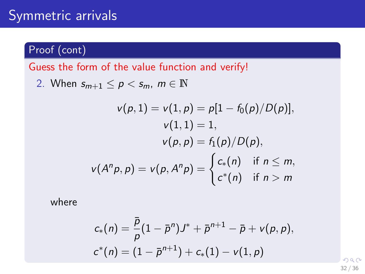### Symmetric arrivals

Proof (cont)

Guess the form of the value function and verify!

2. When  $s_{m+1} \leq p < s_m$ ,  $m \in \mathbb{N}$ 

$$
v(p, 1) = v(1, p) = p[1 - f_0(p)/D(p)],
$$
  

$$
v(1, 1) = 1,
$$
  

$$
v(p, p) = f_1(p)/D(p),
$$
  

$$
v(A^n p, p) = v(p, A^n p) = \begin{cases} c_*(n) & \text{if } n \le m, \\ c^*(n) & \text{if } n > m \end{cases}
$$

where

$$
c_*(n) = \frac{\bar{p}}{p}(1-\bar{p}^n)J^* + \bar{p}^{n+1} - \bar{p} + v(p,p),
$$
  

$$
c^*(n) = (1-\bar{p}^{n+1}) + c_*(1) - v(1,p)
$$

<span id="page-56-0"></span> $\Omega$ 32 / 36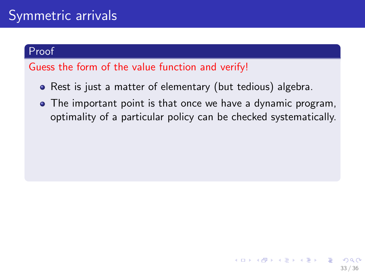#### Proof

#### Guess the form of the value function and verify!

- Rest is just a matter of elementary (but tedious) algebra.
- <span id="page-57-0"></span>The important point is that once we have a dynamic program, optimality of a particular policy can be checked systematically.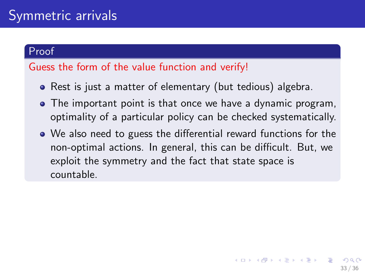#### Proof

#### Guess the form of the value function and verify!

- Rest is just a matter of elementary (but tedious) algebra.
- The important point is that once we have a dynamic program, optimality of a particular policy can be checked systematically.
- We also need to guess the differential reward functions for the non-optimal actions. In general, this can be difficult. But, we exploit the symmetry and the fact that state space is countable.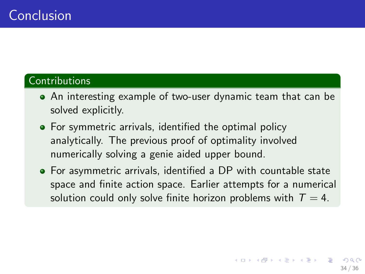#### **Contributions**

- An interesting example of two-user dynamic team that can be solved explicitly.
- For symmetric arrivals, identified the optimal policy analytically. The previous proof of optimality involved numerically solving a genie aided upper bound.
- For asymmetric arrivals, identified a DP with countable state space and finite action space. Earlier attempts for a numerical solution could only solve finite horizon problems with  $T = 4$ .

34 / 36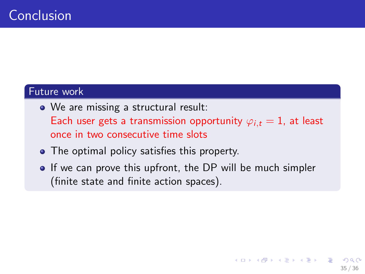#### Future work

- We are missing a structural result: Each user gets a transmission opportunity  $\varphi_{i,t} = 1$ , at least once in two consecutive time slots
- The optimal policy satisfies this property.
- If we can prove this upfront, the DP will be much simpler (finite state and finite action spaces).

35 / 36

K ロ X K @ X K 경 X X 경 X X 경